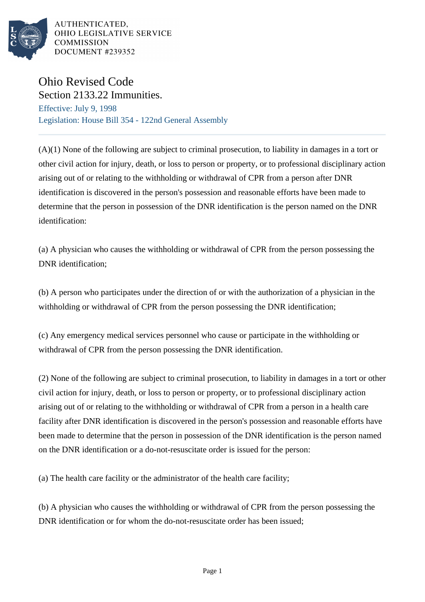

AUTHENTICATED. OHIO LEGISLATIVE SERVICE **COMMISSION** DOCUMENT #239352

## Ohio Revised Code Section 2133.22 Immunities.

Effective: July 9, 1998 Legislation: House Bill 354 - 122nd General Assembly

(A)(1) None of the following are subject to criminal prosecution, to liability in damages in a tort or other civil action for injury, death, or loss to person or property, or to professional disciplinary action arising out of or relating to the withholding or withdrawal of CPR from a person after DNR identification is discovered in the person's possession and reasonable efforts have been made to determine that the person in possession of the DNR identification is the person named on the DNR identification:

(a) A physician who causes the withholding or withdrawal of CPR from the person possessing the DNR identification:

(b) A person who participates under the direction of or with the authorization of a physician in the withholding or withdrawal of CPR from the person possessing the DNR identification;

(c) Any emergency medical services personnel who cause or participate in the withholding or withdrawal of CPR from the person possessing the DNR identification.

(2) None of the following are subject to criminal prosecution, to liability in damages in a tort or other civil action for injury, death, or loss to person or property, or to professional disciplinary action arising out of or relating to the withholding or withdrawal of CPR from a person in a health care facility after DNR identification is discovered in the person's possession and reasonable efforts have been made to determine that the person in possession of the DNR identification is the person named on the DNR identification or a do-not-resuscitate order is issued for the person:

(a) The health care facility or the administrator of the health care facility;

(b) A physician who causes the withholding or withdrawal of CPR from the person possessing the DNR identification or for whom the do-not-resuscitate order has been issued;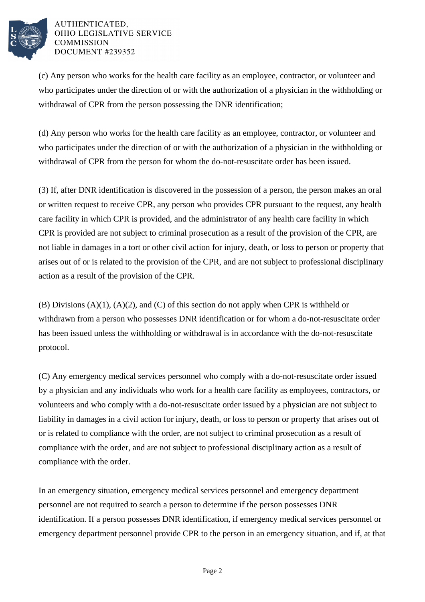

## AUTHENTICATED. OHIO LEGISLATIVE SERVICE **COMMISSION** DOCUMENT #239352

(c) Any person who works for the health care facility as an employee, contractor, or volunteer and who participates under the direction of or with the authorization of a physician in the withholding or withdrawal of CPR from the person possessing the DNR identification;

(d) Any person who works for the health care facility as an employee, contractor, or volunteer and who participates under the direction of or with the authorization of a physician in the withholding or withdrawal of CPR from the person for whom the do-not-resuscitate order has been issued.

(3) If, after DNR identification is discovered in the possession of a person, the person makes an oral or written request to receive CPR, any person who provides CPR pursuant to the request, any health care facility in which CPR is provided, and the administrator of any health care facility in which CPR is provided are not subject to criminal prosecution as a result of the provision of the CPR, are not liable in damages in a tort or other civil action for injury, death, or loss to person or property that arises out of or is related to the provision of the CPR, and are not subject to professional disciplinary action as a result of the provision of the CPR.

 $(B)$  Divisions  $(A)(1)$ ,  $(A)(2)$ , and  $(C)$  of this section do not apply when CPR is withheld or withdrawn from a person who possesses DNR identification or for whom a do-not-resuscitate order has been issued unless the withholding or withdrawal is in accordance with the do-not-resuscitate protocol.

(C) Any emergency medical services personnel who comply with a do-not-resuscitate order issued by a physician and any individuals who work for a health care facility as employees, contractors, or volunteers and who comply with a do-not-resuscitate order issued by a physician are not subject to liability in damages in a civil action for injury, death, or loss to person or property that arises out of or is related to compliance with the order, are not subject to criminal prosecution as a result of compliance with the order, and are not subject to professional disciplinary action as a result of compliance with the order.

In an emergency situation, emergency medical services personnel and emergency department personnel are not required to search a person to determine if the person possesses DNR identification. If a person possesses DNR identification, if emergency medical services personnel or emergency department personnel provide CPR to the person in an emergency situation, and if, at that